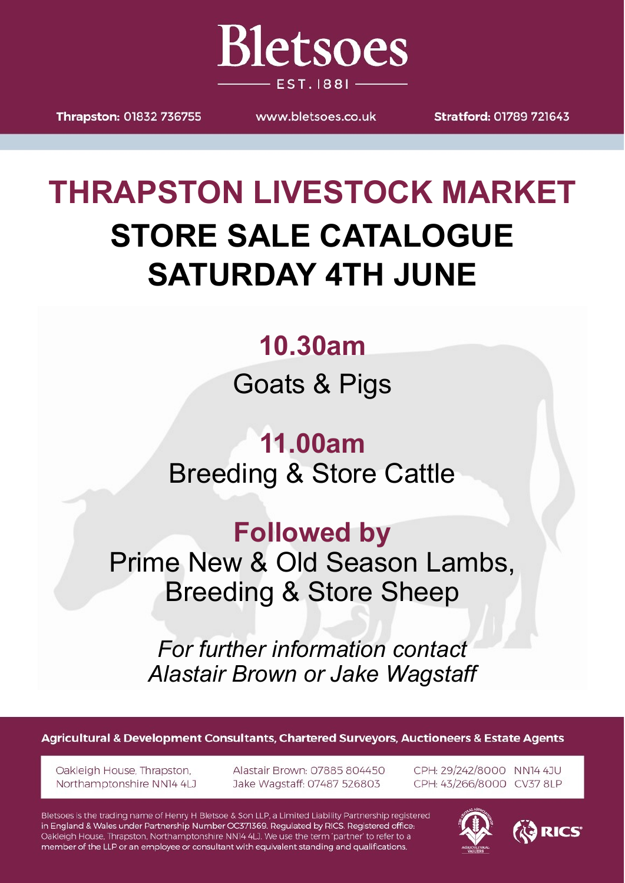

Thrapston: 01832 736755

www.bletsoes.co.uk

**Stratford: 01789 721643** 

# **THRAPSTON LIVESTOCK MARKET STORE SALE CATALOGUE SATURDAY 4TH JUNE**

# **10.30am**

Goats & Pigs

**11.00am** Breeding & Store Cattle

# **Followed by**

Prime New & Old Season Lambs, Breeding & Store Sheep

*For further information contact Alastair Brown or Jake Wagstaff*

Agricultural & Development Consultants, Chartered Surveyors, Auctioneers & Estate Agents

Oakleigh House, Thrapston, Northamptonshire NN14 4LJ Alastair Brown: 07885 804450 Jake Wagstaff: 07487 526803

CPH: 29/242/8000 NN14 4JU CPH: 43/266/8000 CV37 8LP

Bletsoes is the trading name of Henry H Bletsoe & Son LLP, a Limited Liability Partnership registered in England & Wales under Partnership Number OC371369. Regulated by RICS. Registered office: Oakleigh House, Thrapston, Northamptonshire NN14 4LJ. We use the term 'partner' to refer to a member of the LLP or an employee or consultant with equivalent standing and qualifications.



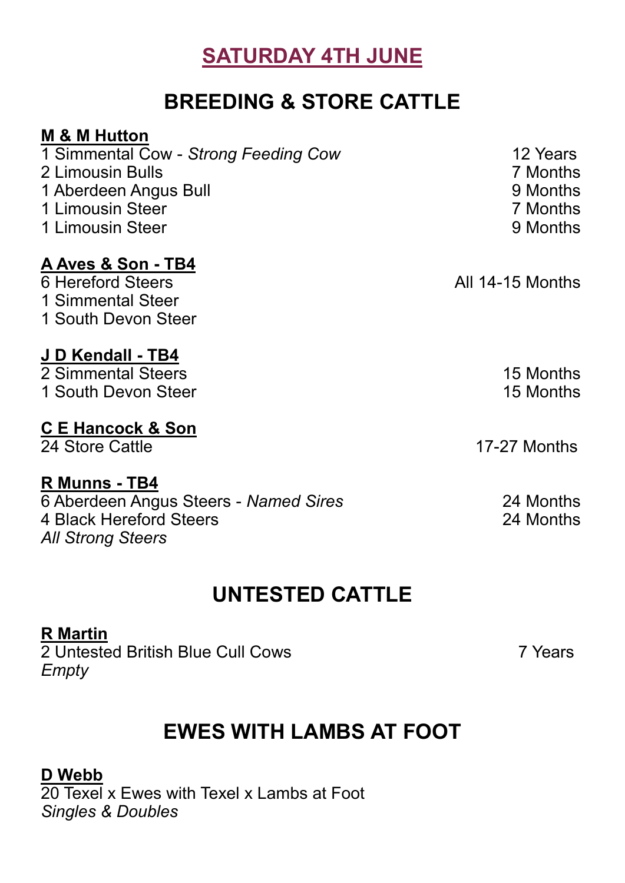#### **SATURDAY 4TH JUNE**

#### **BREEDING & STORE CATTLE**

| <b>M &amp; M Hutton</b>               |                  |
|---------------------------------------|------------------|
| 1 Simmental Cow - Strong Feeding Cow  | 12 Years         |
| 2 Limousin Bulls                      | 7 Months         |
| 1 Aberdeen Angus Bull                 | 9 Months         |
| 1 Limousin Steer                      | 7 Months         |
| 1 Limousin Steer                      | 9 Months         |
| A Aves & Son - TB4                    |                  |
| 6 Hereford Steers                     | All 14-15 Months |
| 1 Simmental Steer                     |                  |
| 1 South Devon Steer                   |                  |
| J D Kendall - TB4                     |                  |
| 2 Simmental Steers                    | 15 Months        |
| 1 South Devon Steer                   | 15 Months        |
| <b>CE Hancock &amp; Son</b>           |                  |
| 24 Store Cattle                       | 17-27 Months     |
| R Munns - TB4                         |                  |
| 6 Aberdeen Angus Steers - Named Sires | 24 Months        |
| 4 Black Hereford Steers               | 24 Months        |
| <b>All Strong Steers</b>              |                  |

### **UNTESTED CATTLE**

#### **R Martin**

2 Untested British Blue Cull Cows 7 Years *Empty*

#### **EWES WITH LAMBS AT FOOT**

#### **D Webb**

20 Texel x Ewes with Texel x Lambs at Foot *Singles & Doubles*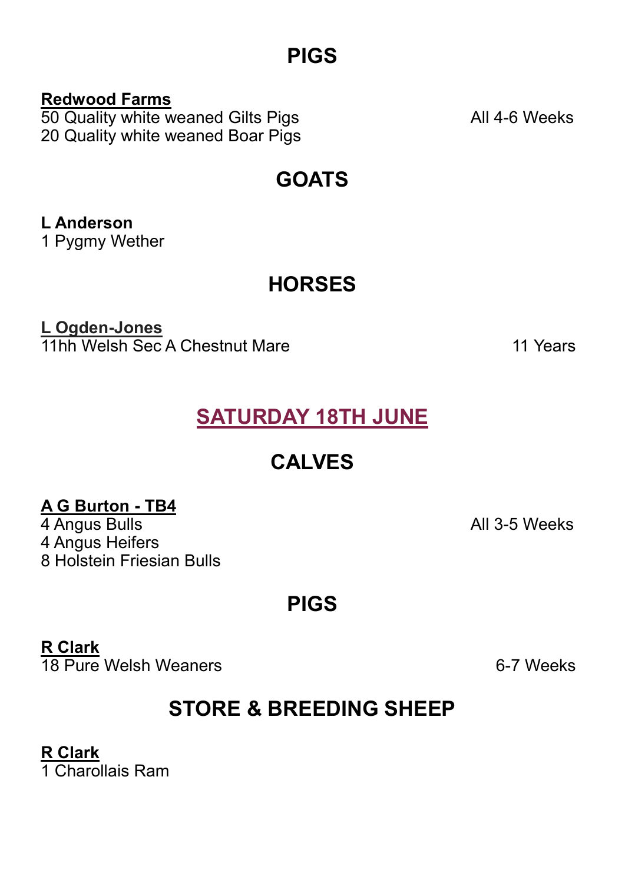#### **PIGS**

**Redwood Farms** 50 Quality white weaned Gilts Pigs **All 4-6 Weeks** 20 Quality white weaned Boar Pigs

**GOATS**

**L Anderson** 1 Pygmy Wether

**HORSES**

**L Ogden-Jones 11hh Welsh Sec A Chestnut Mare 11 Years** 11 Years

**SATURDAY 18TH JUNE**

### **CALVES**

#### **A G Burton - TB4**

4 Angus Bulls **All 3-5 Weeks** 4 Angus Heifers 8 Holstein Friesian Bulls

#### **PIGS**

**R Clark**

18 Pure Welsh Weaners **6-7 Weeks** 

## **STORE & BREEDING SHEEP**

### **R Clark**

1 Charollais Ram